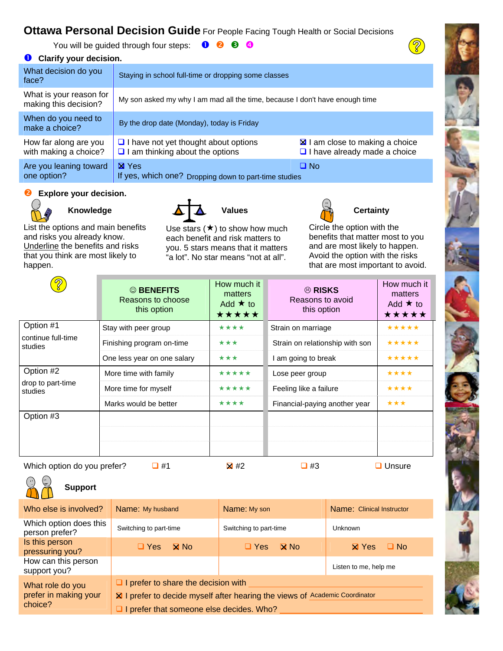# **Ottawa Personal Decision Guide** For People Facing Tough Health or Social Decisions

You will be guided through four steps:  $\bigcirc$   $\bigcirc$   $\bigcirc$   $\bigcirc$ 

## **<sup>O</sup>** Clarify your decision.

| What decision do you<br>face?                    | Staying in school full-time or dropping some classes                                  |                                                                                |
|--------------------------------------------------|---------------------------------------------------------------------------------------|--------------------------------------------------------------------------------|
| What is your reason for<br>making this decision? | My son asked my why I am mad all the time, because I don't have enough time           |                                                                                |
| When do you need to<br>make a choice?            | By the drop date (Monday), today is Friday                                            |                                                                                |
| How far along are you<br>with making a choice?   | $\Box$ I have not yet thought about options<br>$\Box$ I am thinking about the options | <b>EX</b> I am close to making a choice<br>$\Box$ I have already made a choice |
| Are you leaning toward<br>one option?            | <b>X</b> Yes<br>If yes, which one? Dropping down to part-time studies                 | □ No                                                                           |

### **<sup>2</sup>** Explore your decision.



List the options and main benefits and risks you already know. Underline the benefits and risks that you think are most likely to happen.



Use stars  $(\star)$  to show how much each benefit and risk matters to you. 5 stars means that it matters "a lot". No star means "not at all".

 $\overline{\mathcal{D}}$ 

Circle the option with the benefits that matter most to you and are most likely to happen. Avoid the option with the risks that are most important to avoid.

| <u>ග</u>                                   | © BENEFITS<br>Reasons to choose<br>this option | How much it<br>matters<br>Add $\star$ to<br>★★★★★ | <sup>⊗</sup> RISKS<br>Reasons to avoid<br>this option | How much it<br>matters<br>Add $\star$ to<br>***** |
|--------------------------------------------|------------------------------------------------|---------------------------------------------------|-------------------------------------------------------|---------------------------------------------------|
| Option #1<br>continue full-time<br>studies | Stay with peer group                           | ****                                              | Strain on marriage                                    | *****                                             |
|                                            | Finishing program on-time                      | ***                                               | Strain on relationship with son                       | *****                                             |
|                                            | One less year on one salary                    | ***                                               | I am going to break                                   | *****                                             |
| Option #2<br>drop to part-time<br>studies  | More time with family                          | *****                                             | Lose peer group                                       | ****                                              |
|                                            | More time for myself                           | *****                                             | Feeling like a failure                                | ****                                              |
|                                            | Marks would be better                          | ****                                              | Financial-paying another year                         | ***                                               |
| Option #3                                  |                                                |                                                   |                                                       |                                                   |

Which option do you prefer?  $\Box$  #1  $\Box$  #2  $\Box$  #3  $\Box$  Unsure



**Support** 

| Who else is involved?                                | Name: My husband                                                                                                                                                      | Name: My son                       | Name: Clinical Instructor |
|------------------------------------------------------|-----------------------------------------------------------------------------------------------------------------------------------------------------------------------|------------------------------------|---------------------------|
| Which option does this<br>person prefer?             | Switching to part-time                                                                                                                                                | Switching to part-time             | <b>Unknown</b>            |
| Is this person<br>pressuring you?                    | $\Box$ Yes<br>$\boxtimes$ No.                                                                                                                                         | $\mathbf{\Omega}$ No<br>$\Box$ Yes | $\Box$ No<br>$\times$ Yes |
| How can this person<br>support you?                  |                                                                                                                                                                       |                                    | Listen to me, help me     |
| What role do you<br>prefer in making your<br>choice? | $\Box$ I prefer to share the decision with<br>X I prefer to decide myself after hearing the views of Academic Coordinator<br>I prefer that someone else decides. Who? |                                    |                           |